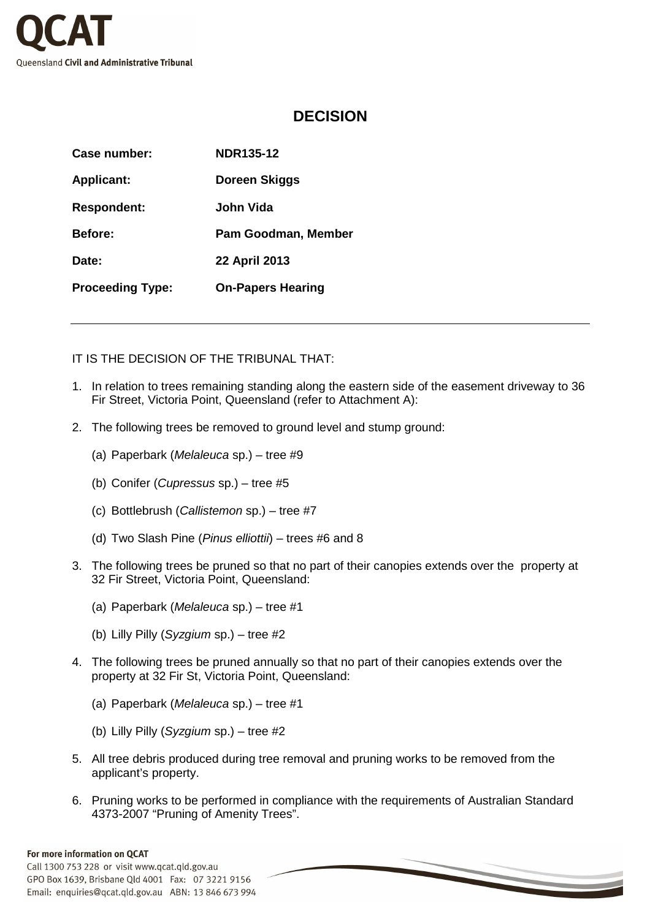

## **DECISION**

| Case number:            | <b>NDR135-12</b>         |
|-------------------------|--------------------------|
| <b>Applicant:</b>       | Doreen Skiggs            |
| <b>Respondent:</b>      | John Vida                |
| <b>Before:</b>          | Pam Goodman, Member      |
| Date:                   | <b>22 April 2013</b>     |
| <b>Proceeding Type:</b> | <b>On-Papers Hearing</b> |
|                         |                          |

IT IS THE DECISION OF THE TRIBUNAL THAT:

- 1. In relation to trees remaining standing along the eastern side of the easement driveway to 36 Fir Street, Victoria Point, Queensland (refer to Attachment A):
- 2. The following trees be removed to ground level and stump ground:
	- (a) Paperbark (Melaleuca sp.) tree #9
	- (b) Conifer (Cupressus sp.) tree #5
	- (c) Bottlebrush (Callistemon sp.) tree #7
	- (d) Two Slash Pine (Pinus elliottii) trees #6 and 8
- 3. The following trees be pruned so that no part of their canopies extends over the property at 32 Fir Street, Victoria Point, Queensland:
	- (a) Paperbark (Melaleuca sp.) tree #1
	- (b) Lilly Pilly (Syzgium sp.) tree #2
- 4. The following trees be pruned annually so that no part of their canopies extends over the property at 32 Fir St, Victoria Point, Queensland:
	- (a) Paperbark (Melaleuca sp.) tree #1
	- (b) Lilly Pilly (Syzgium sp.) tree #2
- 5. All tree debris produced during tree removal and pruning works to be removed from the applicant's property.
- 6. Pruning works to be performed in compliance with the requirements of Australian Standard 4373-2007 "Pruning of Amenity Trees".

## For more information on QCAT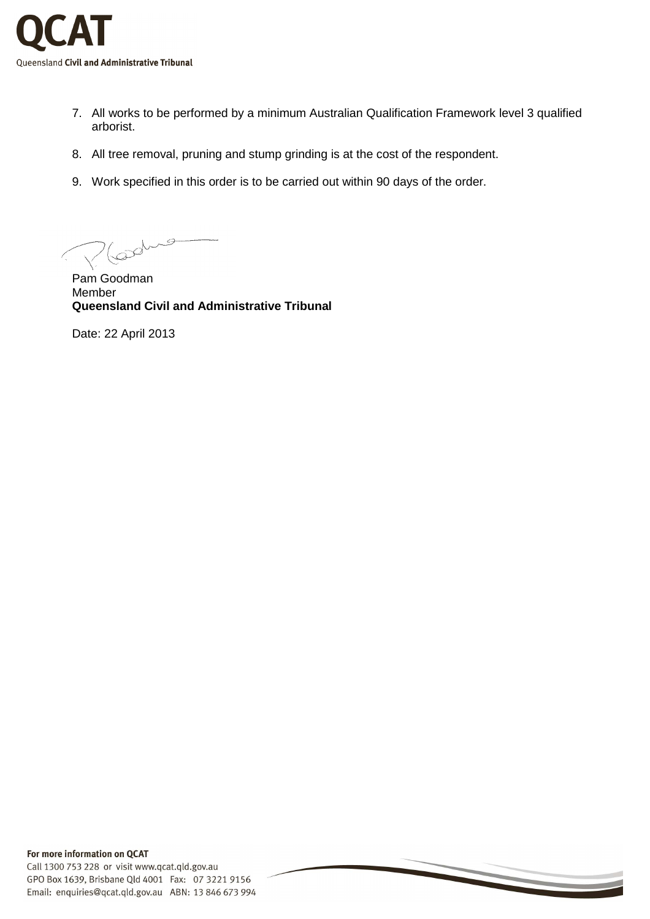

- 7. All works to be performed by a minimum Australian Qualification Framework level 3 qualified arborist.
- 8. All tree removal, pruning and stump grinding is at the cost of the respondent.
- 9. Work specified in this order is to be carried out within 90 days of the order.

 $\omega$ 

Pam Goodman Member **Queensland Civil and Administrative Tribunal** 

Date: 22 April 2013